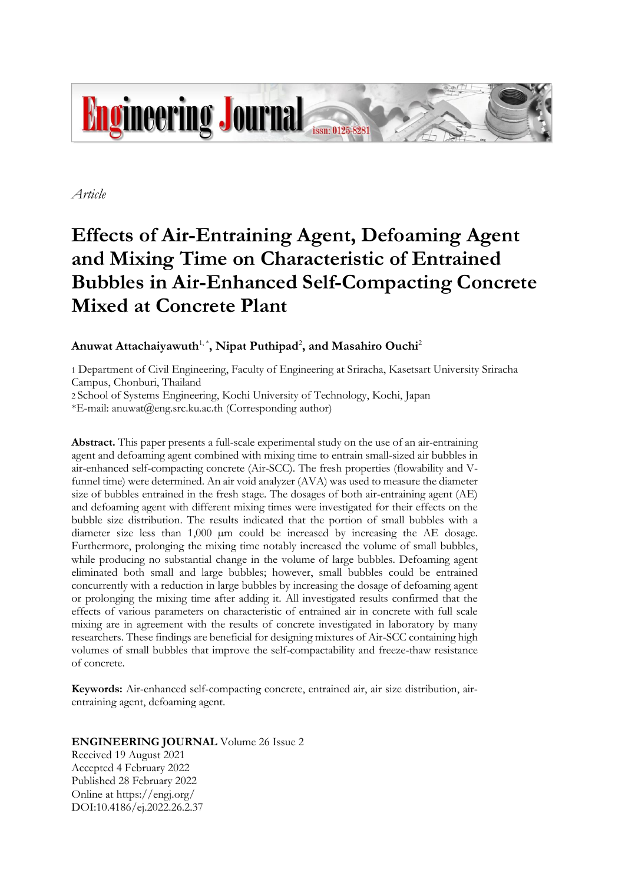

*Article*

# **Effects of Air-Entraining Agent, Defoaming Agent and Mixing Time on Characteristic of Entrained Bubbles in Air-Enhanced Self-Compacting Concrete Mixed at Concrete Plant**

# Anuwat Attachaiyawuth<sup>1,\*</sup>, Nipat Puthipad<sup>2</sup>, and Masahiro Ouchi<sup>2</sup>

1 Department of Civil Engineering, Faculty of Engineering at Sriracha, Kasetsart University Sriracha Campus, Chonburi, Thailand

2 School of Systems Engineering, Kochi University of Technology, Kochi, Japan

\*E-mail: anuwat@eng.src.ku.ac.th (Corresponding author)

**Abstract.** This paper presents a full-scale experimental study on the use of an air-entraining agent and defoaming agent combined with mixing time to entrain small-sized air bubbles in air-enhanced self-compacting concrete (Air-SCC). The fresh properties (flowability and Vfunnel time) were determined. An air void analyzer (AVA) was used to measure the diameter size of bubbles entrained in the fresh stage. The dosages of both air-entraining agent (AE) and defoaming agent with different mixing times were investigated for their effects on the bubble size distribution. The results indicated that the portion of small bubbles with a diameter size less than 1,000  $\mu$ m could be increased by increasing the AE dosage. Furthermore, prolonging the mixing time notably increased the volume of small bubbles, while producing no substantial change in the volume of large bubbles. Defoaming agent eliminated both small and large bubbles; however, small bubbles could be entrained concurrently with a reduction in large bubbles by increasing the dosage of defoaming agent or prolonging the mixing time after adding it. All investigated results confirmed that the effects of various parameters on characteristic of entrained air in concrete with full scale mixing are in agreement with the results of concrete investigated in laboratory by many researchers. These findings are beneficial for designing mixtures of Air-SCC containing high volumes of small bubbles that improve the self-compactability and freeze-thaw resistance of concrete.

**Keywords:** Air-enhanced self-compacting concrete, entrained air, air size distribution, airentraining agent, defoaming agent.

# **ENGINEERING JOURNAL** Volume 26 Issue 2 Received 19 August 2021 Accepted 4 February 2022 Published 28 February 2022

Online at https://engj.org/ DOI:10.4186/ej.2022.26.2.37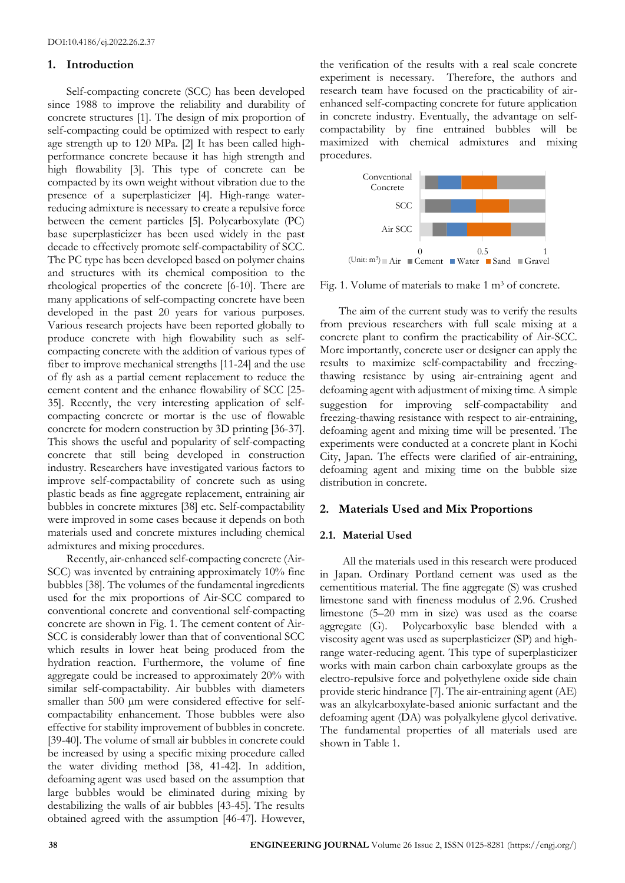### **1. Introduction**

Self-compacting concrete (SCC) has been developed since 1988 to improve the reliability and durability of concrete structures [1]. The design of mix proportion of self-compacting could be optimized with respect to early age strength up to 120 MPa. [2] It has been called highperformance concrete because it has high strength and high flowability [3]. This type of concrete can be compacted by its own weight without vibration due to the presence of a superplasticizer [4]. High-range waterreducing admixture is necessary to create a repulsive force between the cement particles [5]. Polycarboxylate (PC) base superplasticizer has been used widely in the past decade to effectively promote self-compactability of SCC. The PC type has been developed based on polymer chains and structures with its chemical composition to the rheological properties of the concrete [6-10]. There are many applications of self-compacting concrete have been developed in the past 20 years for various purposes. Various research projects have been reported globally to produce concrete with high flowability such as selfcompacting concrete with the addition of various types of fiber to improve mechanical strengths [11-24] and the use of fly ash as a partial cement replacement to reduce the cement content and the enhance flowability of SCC [25- 35]. Recently, the very interesting application of selfcompacting concrete or mortar is the use of flowable concrete for modern construction by 3D printing [36-37]. This shows the useful and popularity of self-compacting concrete that still being developed in construction industry. Researchers have investigated various factors to improve self-compactability of concrete such as using plastic beads as fine aggregate replacement, entraining air bubbles in concrete mixtures [38] etc. Self-compactability were improved in some cases because it depends on both materials used and concrete mixtures including chemical admixtures and mixing procedures.

Recently, air-enhanced self-compacting concrete (Air-SCC) was invented by entraining approximately 10% fine bubbles [38]. The volumes of the fundamental ingredients used for the mix proportions of Air-SCC compared to conventional concrete and conventional self-compacting concrete are shown in Fig. 1. The cement content of Air-SCC is considerably lower than that of conventional SCC which results in lower heat being produced from the hydration reaction. Furthermore, the volume of fine aggregate could be increased to approximately 20% with similar self-compactability. Air bubbles with diameters smaller than 500  $\mu$ m were considered effective for selfcompactability enhancement. Those bubbles were also effective for stability improvement of bubbles in concrete. [39-40]. The volume of small air bubbles in concrete could be increased by using a specific mixing procedure called the water dividing method [38, 41-42]. In addition, defoaming agent was used based on the assumption that large bubbles would be eliminated during mixing by destabilizing the walls of air bubbles [43-45]. The results obtained agreed with the assumption [46-47]. However,

the verification of the results with a real scale concrete experiment is necessary. Therefore, the authors and research team have focused on the practicability of airenhanced self-compacting concrete for future application in concrete industry. Eventually, the advantage on selfcompactability by fine entrained bubbles will be maximized with chemical admixtures and mixing procedures.



Fig. 1. Volume of materials to make 1 m<sup>3</sup> of concrete.

The aim of the current study was to verify the results from previous researchers with full scale mixing at a concrete plant to confirm the practicability of Air-SCC. More importantly, concrete user or designer can apply the results to maximize self-compactability and freezingthawing resistance by using air-entraining agent and defoaming agent with adjustment of mixing time. A simple suggestion for improving self-compactability and freezing-thawing resistance with respect to air-entraining, defoaming agent and mixing time will be presented. The experiments were conducted at a concrete plant in Kochi City, Japan. The effects were clarified of air-entraining, defoaming agent and mixing time on the bubble size distribution in concrete.

#### **2. Materials Used and Mix Proportions**

#### **2.1. Material Used**

All the materials used in this research were produced in Japan. Ordinary Portland cement was used as the cementitious material. The fine aggregate (S) was crushed limestone sand with fineness modulus of 2.96. Crushed limestone (5–20 mm in size) was used as the coarse aggregate (G). Polycarboxylic base blended with a viscosity agent was used as superplasticizer (SP) and highrange water-reducing agent. This type of superplasticizer works with main carbon chain carboxylate groups as the electro-repulsive force and polyethylene oxide side chain provide steric hindrance [7]. The air-entraining agent (AE) was an alkylcarboxylate-based anionic surfactant and the defoaming agent (DA) was polyalkylene glycol derivative. The fundamental properties of all materials used are shown in Table 1.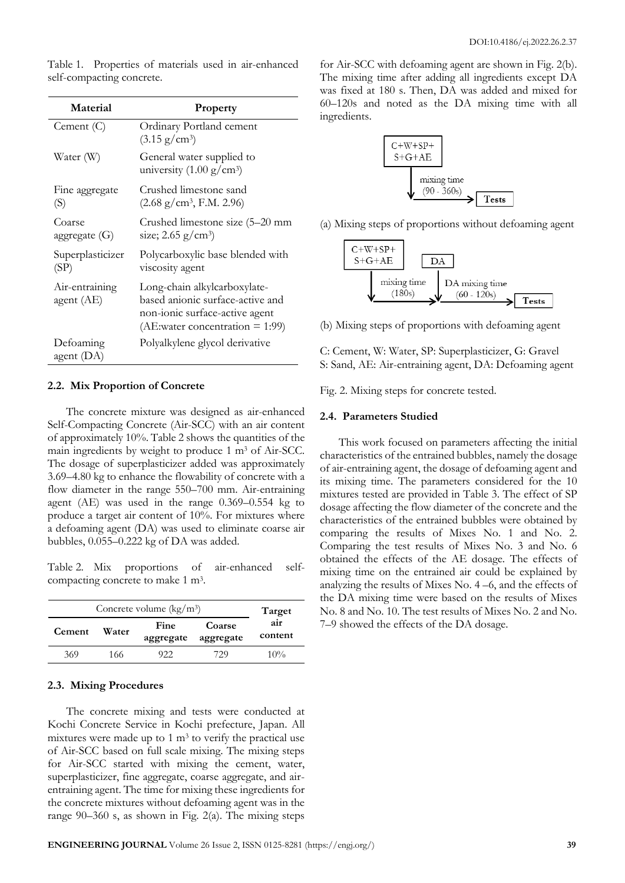| Material                     | Property                                                                                                                                 |
|------------------------------|------------------------------------------------------------------------------------------------------------------------------------------|
| Cement $(C)$                 | Ordinary Portland cement<br>$(3.15 \text{ g/cm}^3)$                                                                                      |
| Water (W)                    | General water supplied to<br>university $(1.00 \text{ g/cm}^3)$                                                                          |
| Fine aggregate<br>(S)        | Crushed limestone sand<br>$(2.68 \text{ g/cm}^3, \text{F.M. } 2.96)$                                                                     |
| Coarse<br>aggregate $(G)$    | Crushed limestone size (5–20 mm<br>size; $2.65$ g/cm <sup>3</sup> )                                                                      |
| Superplasticizer<br>(SP)     | Polycarboxylic base blended with<br>viscosity agent                                                                                      |
| Air-entraining<br>agent (AE) | Long-chain alkylcarboxylate-<br>based anionic surface-active and<br>non-ionic surface-active agent<br>(AE:water concentration $= 1:99$ ) |
| Defoaming<br>agent (DA)      | Polyalkylene glycol derivative                                                                                                           |

Table 1. Properties of materials used in air-enhanced self-compacting concrete.

#### **2.2. Mix Proportion of Concrete**

The concrete mixture was designed as air-enhanced Self-Compacting Concrete (Air-SCC) with an air content of approximately 10%. Table 2 shows the quantities of the main ingredients by weight to produce 1 m<sup>3</sup> of Air-SCC. The dosage of superplasticizer added was approximately 3.69–4.80 kg to enhance the flowability of concrete with a flow diameter in the range 550–700 mm. Air-entraining agent (AE) was used in the range 0.369–0.554 kg to produce a target air content of 10%. For mixtures where a defoaming agent (DA) was used to eliminate coarse air bubbles, 0.055–0.222 kg of DA was added.

Table 2. Mix proportions of air-enhanced selfcompacting concrete to make 1 m<sup>3</sup>.

|        | Target                     |     |                     |                |
|--------|----------------------------|-----|---------------------|----------------|
| Cement | Fine<br>Water<br>aggregate |     | Coarse<br>aggregate | air<br>content |
| 369    | 166                        | 922 | 729                 | $10\%$         |

#### **2.3. Mixing Procedures**

The concrete mixing and tests were conducted at Kochi Concrete Service in Kochi prefecture, Japan. All mixtures were made up to 1 m<sup>3</sup> to verify the practical use of Air-SCC based on full scale mixing. The mixing steps for Air-SCC started with mixing the cement, water, superplasticizer, fine aggregate, coarse aggregate, and airentraining agent. The time for mixing these ingredients for the concrete mixtures without defoaming agent was in the range  $90-360$  s, as shown in Fig. 2(a). The mixing steps

for Air-SCC with defoaming agent are shown in Fig. 2(b). The mixing time after adding all ingredients except DA was fixed at 180 s. Then, DA was added and mixed for 60–120s and noted as the DA mixing time with all ingredients.



(a) Mixing steps of proportions without defoaming agent



(b) Mixing steps of proportions with defoaming agent

C: Cement, W: Water, SP: Superplasticizer, G: Gravel S: Sand, AE: Air-entraining agent, DA: Defoaming agent

Fig. 2. Mixing steps for concrete tested.

#### **2.4. Parameters Studied**

This work focused on parameters affecting the initial characteristics of the entrained bubbles, namely the dosage of air-entraining agent, the dosage of defoaming agent and its mixing time. The parameters considered for the 10 mixtures tested are provided in Table 3. The effect of SP dosage affecting the flow diameter of the concrete and the characteristics of the entrained bubbles were obtained by comparing the results of Mixes No. 1 and No. 2. Comparing the test results of Mixes No. 3 and No. 6 obtained the effects of the AE dosage. The effects of mixing time on the entrained air could be explained by analyzing the results of Mixes No. 4 –6, and the effects of the DA mixing time were based on the results of Mixes No. 8 and No. 10. The test results of Mixes No. 2 and No. 7–9 showed the effects of the DA dosage.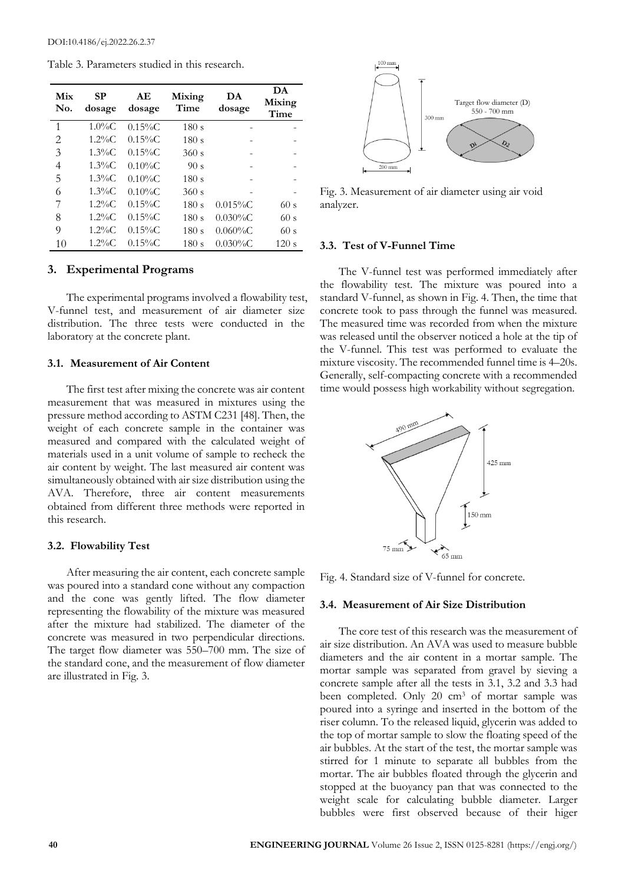Table 3. Parameters studied in this research.

| Mix<br>No.     | SP<br>dosage | AЕ<br>dosage | Mixing<br>Time | DA<br>dosage | DA<br>Mixing<br>Time |
|----------------|--------------|--------------|----------------|--------------|----------------------|
| 1              | $1.0\%$ C    | $0.15\%C$    | 180s           |              |                      |
| $\overline{2}$ | $1.2\%C$     | $0.15\%C$    | 180 s          |              |                      |
| 3              | $1.3\%C$     | $0.15\%C$    | 360 s          |              |                      |
| 4              | $1.3\%C$     | $0.10\%C$    | 90 s           |              |                      |
| 5              | $1.3\%C$     | $0.10\%C$    | 180s           |              |                      |
| 6              | $1.3\%C$     | $0.10\%C$    | 360 s          |              |                      |
| 7              | $1.2\%C$     | $0.15\%C$    | 180s           | $0.015\%$ C  | 60s                  |
| 8              | $1.2\%$ C    | $0.15\%C$    | 180s           | $0.030\%C$   | 60s                  |
| 9              | $1.2\%C$     | $0.15\%C$    | 180s           | $0.060\%C$   | 60s                  |
| 10             | $1.2\%C$     | $0.15\%C$    | 180s           | $0.030\%C$   | 120 s                |

#### **3. Experimental Programs**

The experimental programs involved a flowability test, V-funnel test, and measurement of air diameter size distribution. The three tests were conducted in the laboratory at the concrete plant.

#### **3.1. Measurement of Air Content**

The first test after mixing the concrete was air content measurement that was measured in mixtures using the pressure method according to ASTM C231 [48]. Then, the weight of each concrete sample in the container was measured and compared with the calculated weight of materials used in a unit volume of sample to recheck the air content by weight. The last measured air content was simultaneously obtained with air size distribution using the AVA. Therefore, three air content measurements obtained from different three methods were reported in this research.

#### **3.2. Flowability Test**

After measuring the air content, each concrete sample was poured into a standard cone without any compaction and the cone was gently lifted. The flow diameter representing the flowability of the mixture was measured after the mixture had stabilized. The diameter of the concrete was measured in two perpendicular directions. The target flow diameter was 550–700 mm. The size of the standard cone, and the measurement of flow diameter are illustrated in Fig. 3.



Fig. 3. Measurement of air diameter using air void analyzer.

#### **3.3. Test of V-Funnel Time**

The V-funnel test was performed immediately after the flowability test. The mixture was poured into a standard V-funnel, as shown in Fig. 4. Then, the time that concrete took to pass through the funnel was measured. The measured time was recorded from when the mixture was released until the observer noticed a hole at the tip of the V-funnel. This test was performed to evaluate the mixture viscosity. The recommended funnel time is 4–20s. Generally, self-compacting concrete with a recommended time would possess high workability without segregation.



Fig. 4. Standard size of V-funnel for concrete.

#### **3.4. Measurement of Air Size Distribution**

The core test of this research was the measurement of air size distribution. An AVA was used to measure bubble diameters and the air content in a mortar sample. The mortar sample was separated from gravel by sieving a concrete sample after all the tests in 3.1, 3.2 and 3.3 had been completed. Only 20 cm<sup>3</sup> of mortar sample was poured into a syringe and inserted in the bottom of the riser column. To the released liquid, glycerin was added to the top of mortar sample to slow the floating speed of the air bubbles. At the start of the test, the mortar sample was stirred for 1 minute to separate all bubbles from the mortar. The air bubbles floated through the glycerin and stopped at the buoyancy pan that was connected to the weight scale for calculating bubble diameter. Larger bubbles were first observed because of their higer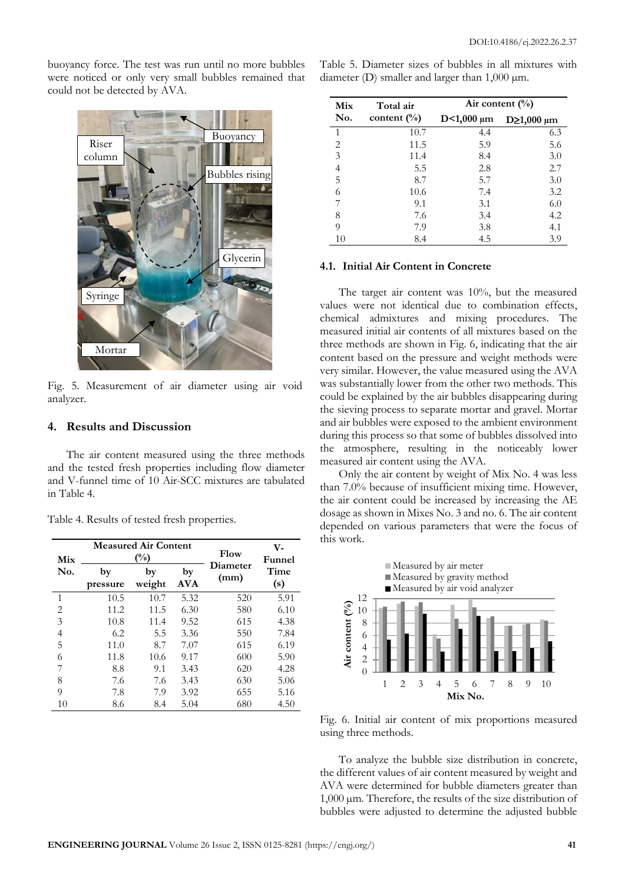buoyancy force. The test was run until no more bubbles were noticed or only very small bubbles remained that could not be detected by AVA.



Fig. 5. Measurement of air diameter using air void analyzer.

#### **4. Results and Discussion**

The air content measured using the three methods and the tested fresh properties including flow diameter and V-funnel time of 10 Air-SCC mixtures are tabulated in Table 4.

Table 4. Results of tested fresh properties.

| Mix            |                | <b>Measured Air Content</b><br>$(^{0}/_{0})$ | Flow             | V-<br>Funnel     |             |
|----------------|----------------|----------------------------------------------|------------------|------------------|-------------|
| No.            | by<br>pressure | by<br>weight                                 | by<br><b>AVA</b> | Diameter<br>(mm) | Time<br>(s) |
| 1              | 10.5           | 10.7                                         | 5.32             | 520              | 5.91        |
| $\overline{2}$ | 11.2           | 11.5                                         | 6.30             | 580              | 6.10        |
| 3              | 10.8           | 11.4                                         | 9.52             | 615              | 4.38        |
| 4              | 6.2            | 5.5                                          | 3.36             | 550              | 7.84        |
| 5              | 11.0           | 8.7                                          | 7.07             | 615              | 6.19        |
| 6              | 11.8           | 10.6                                         | 9.17             | 600              | 5.90        |
| 7              | 8.8            | 9.1                                          | 3.43             | 620              | 4.28        |
| 8              | 7.6            | 7.6                                          | 3.43             | 630              | 5.06        |
| 9              | 7.8            | 7.9                                          | 3.92             | 655              | 5.16        |
| 10             | 8.6            | 8.4                                          | 5.04             | 680              | 4.50        |

| Table 5. Diameter sizes of bubbles in all mixtures with |  |  |  |  |
|---------------------------------------------------------|--|--|--|--|
| diameter (D) smaller and larger than $1,000 \mu m$ .    |  |  |  |  |

| Mix            | Total air       | Air content $(\%)$ |                     |  |  |
|----------------|-----------------|--------------------|---------------------|--|--|
| No.            | content $(\% )$ | $D < 1,000 \mu m$  | $D\geq 1,000 \mu m$ |  |  |
| 1              | 10.7            | 4.4                | 6.3                 |  |  |
| 2              | 11.5            | 5.9                | 5.6                 |  |  |
| $\overline{3}$ | 11.4            | 8.4                | 3.0                 |  |  |
| $\overline{4}$ | 5.5             | 2.8                | 2.7                 |  |  |
| 5              | 8.7             | 5.7                | 3.0                 |  |  |
| 6              | 10.6            | 7.4                | 3.2                 |  |  |
| 7              | 9.1             | 3.1                | 6.0                 |  |  |
| 8              | 7.6             | 3.4                | 4.2                 |  |  |
| 9              | 7.9             | 3.8                | 4.1                 |  |  |
| 10             | 8.4             | 4.5                | 3.9                 |  |  |

### **4.1. Initial Air Content in Concrete**

The target air content was 10%, but the measured values were not identical due to combination effects, chemical admixtures and mixing procedures. The measured initial air contents of all mixtures based on the three methods are shown in Fig. 6, indicating that the air content based on the pressure and weight methods were very similar. However, the value measured using the AVA was substantially lower from the other two methods. This could be explained by the air bubbles disappearing during the sieving process to separate mortar and gravel. Mortar and air bubbles were exposed to the ambient environment during this process so that some of bubbles dissolved into the atmosphere, resulting in the noticeably lower measured air content using the AVA.

Only the air content by weight of Mix No. 4 was less than 7.0% because of insufficient mixing time. However, the air content could be increased by increasing the AE dosage as shown in Mixes No. 3 and no. 6. The air content depended on various parameters that were the focus of this work.



Fig. 6. Initial air content of mix proportions measured using three methods.

To analyze the bubble size distribution in concrete, the different values of air content measured by weight and AVA were determined for bubble diameters greater than 1,000 µm. Therefore, the results of the size distribution of bubbles were adjusted to determine the adjusted bubble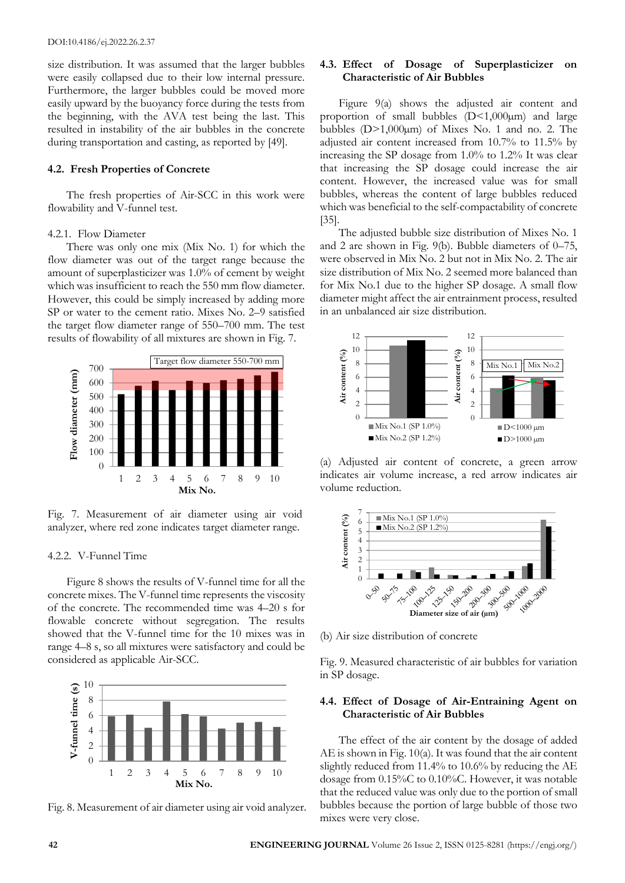size distribution. It was assumed that the larger bubbles were easily collapsed due to their low internal pressure. Furthermore, the larger bubbles could be moved more easily upward by the buoyancy force during the tests from the beginning, with the AVA test being the last. This resulted in instability of the air bubbles in the concrete during transportation and casting, as reported by [49].

#### **4.2. Fresh Properties of Concrete**

The fresh properties of Air-SCC in this work were flowability and V-funnel test.

#### 4.2.1. Flow Diameter

There was only one mix (Mix No. 1) for which the flow diameter was out of the target range because the amount of superplasticizer was 1.0% of cement by weight which was insufficient to reach the 550 mm flow diameter. However, this could be simply increased by adding more SP or water to the cement ratio. Mixes No. 2–9 satisfied the target flow diameter range of 550–700 mm. The test results of flowability of all mixtures are shown in Fig. 7.



Fig. 7. Measurement of air diameter using air void analyzer, where red zone indicates target diameter range.

### 4.2.2. V-Funnel Time

Figure 8 shows the results of V-funnel time for all the concrete mixes. The V-funnel time represents the viscosity of the concrete. The recommended time was 4–20 s for flowable concrete without segregation. The results showed that the V-funnel time for the 10 mixes was in range 4–8 s, so all mixtures were satisfactory and could be considered as applicable Air-SCC.



Fig. 8. Measurement of air diameter using air void analyzer.

## **4.3. Effect of Dosage of Superplasticizer on Characteristic of Air Bubbles**

Figure 9(a) shows the adjusted air content and proportion of small bubbles  $(D<1,000\mu m)$  and large bubbles  $(D>1,000\mu m)$  of Mixes No. 1 and no. 2. The adjusted air content increased from 10.7% to 11.5% by increasing the SP dosage from 1.0% to 1.2% It was clear that increasing the SP dosage could increase the air content. However, the increased value was for small bubbles, whereas the content of large bubbles reduced which was beneficial to the self-compactability of concrete [35].

The adjusted bubble size distribution of Mixes No. 1 and 2 are shown in Fig. 9(b). Bubble diameters of 0–75, were observed in Mix No. 2 but not in Mix No. 2. The air size distribution of Mix No. 2 seemed more balanced than for Mix No.1 due to the higher SP dosage. A small flow diameter might affect the air entrainment process, resulted in an unbalanced air size distribution.



(a) Adjusted air content of concrete, a green arrow indicates air volume increase, a red arrow indicates air volume reduction.



(b) Air size distribution of concrete

Fig. 9. Measured characteristic of air bubbles for variation in SP dosage.

### **4.4. Effect of Dosage of Air-Entraining Agent on Characteristic of Air Bubbles**

The effect of the air content by the dosage of added AE is shown in Fig. 10(a). It was found that the air content slightly reduced from 11.4% to 10.6% by reducing the AE dosage from 0.15%C to 0.10%C. However, it was notable that the reduced value was only due to the portion of small bubbles because the portion of large bubble of those two mixes were very close.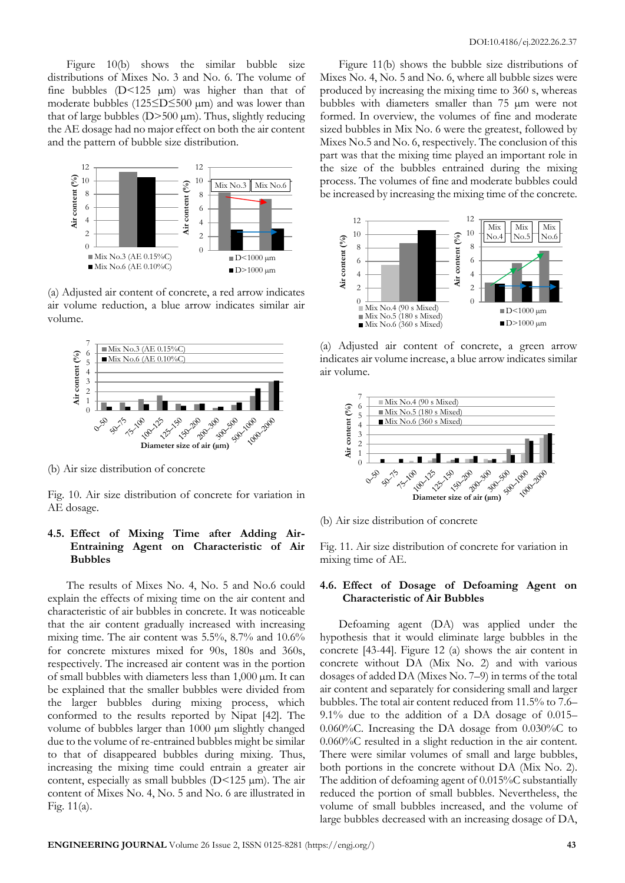Figure 10(b) shows the similar bubble size distributions of Mixes No. 3 and No. 6. The volume of fine bubbles  $(D<125 \mu m)$  was higher than that of moderate bubbles (125≤D≤500 µm) and was lower than that of large bubbles  $(D>500 \mu m)$ . Thus, slightly reducing the AE dosage had no major effect on both the air content and the pattern of bubble size distribution.



(a) Adjusted air content of concrete, a red arrow indicates air volume reduction, a blue arrow indicates similar air volume.



(b) Air size distribution of concrete

Fig. 10. Air size distribution of concrete for variation in AE dosage.

# **4.5. Effect of Mixing Time after Adding Air-Entraining Agent on Characteristic of Air Bubbles**

The results of Mixes No. 4, No. 5 and No.6 could explain the effects of mixing time on the air content and characteristic of air bubbles in concrete. It was noticeable that the air content gradually increased with increasing mixing time. The air content was 5.5%, 8.7% and 10.6% for concrete mixtures mixed for 90s, 180s and 360s, respectively. The increased air content was in the portion of small bubbles with diameters less than  $1,000 \mu m$ . It can be explained that the smaller bubbles were divided from the larger bubbles during mixing process, which conformed to the results reported by Nipat [42]. The volume of bubbles larger than 1000 µm slightly changed due to the volume of re-entrained bubbles might be similar to that of disappeared bubbles during mixing. Thus, increasing the mixing time could entrain a greater air content, especially as small bubbles  $(D<125 \mu m)$ . The air content of Mixes No. 4, No. 5 and No. 6 are illustrated in Fig. 11(a).

Figure 11(b) shows the bubble size distributions of Mixes No. 4, No. 5 and No. 6, where all bubble sizes were produced by increasing the mixing time to 360 s, whereas bubbles with diameters smaller than 75 µm were not formed. In overview, the volumes of fine and moderate sized bubbles in Mix No. 6 were the greatest, followed by Mixes No.5 and No. 6, respectively. The conclusion of this part was that the mixing time played an important role in the size of the bubbles entrained during the mixing process. The volumes of fine and moderate bubbles could be increased by increasing the mixing time of the concrete.



(a) Adjusted air content of concrete, a green arrow indicates air volume increase, a blue arrow indicates similar air volume.



(b) Air size distribution of concrete

Fig. 11. Air size distribution of concrete for variation in mixing time of AE.

### **4.6. Effect of Dosage of Defoaming Agent on Characteristic of Air Bubbles**

Defoaming agent (DA) was applied under the hypothesis that it would eliminate large bubbles in the concrete [43-44]. Figure 12 (a) shows the air content in concrete without DA (Mix No. 2) and with various dosages of added DA (Mixes No. 7–9) in terms of the total air content and separately for considering small and larger bubbles. The total air content reduced from 11.5% to 7.6– 9.1% due to the addition of a DA dosage of 0.015– 0.060%C. Increasing the DA dosage from 0.030%C to 0.060%C resulted in a slight reduction in the air content. There were similar volumes of small and large bubbles, both portions in the concrete without DA (Mix No. 2). The addition of defoaming agent of 0.015%C substantially reduced the portion of small bubbles. Nevertheless, the volume of small bubbles increased, and the volume of large bubbles decreased with an increasing dosage of DA,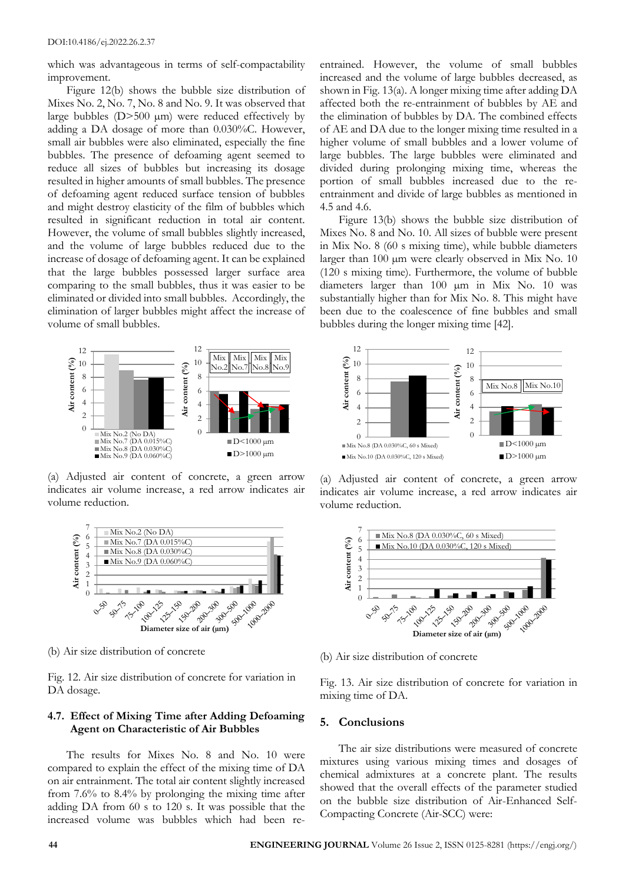which was advantageous in terms of self-compactability improvement.

Figure 12(b) shows the bubble size distribution of Mixes No. 2, No. 7, No. 8 and No. 9. It was observed that large bubbles  $(D>500 \mu m)$  were reduced effectively by adding a DA dosage of more than 0.030%C. However, small air bubbles were also eliminated, especially the fine bubbles. The presence of defoaming agent seemed to reduce all sizes of bubbles but increasing its dosage resulted in higher amounts of small bubbles. The presence of defoaming agent reduced surface tension of bubbles and might destroy elasticity of the film of bubbles which resulted in significant reduction in total air content. However, the volume of small bubbles slightly increased, and the volume of large bubbles reduced due to the increase of dosage of defoaming agent. It can be explained that the large bubbles possessed larger surface area comparing to the small bubbles, thus it was easier to be eliminated or divided into small bubbles. Accordingly, the elimination of larger bubbles might affect the increase of volume of small bubbles.



(a) Adjusted air content of concrete, a green arrow indicates air volume increase, a red arrow indicates air volume reduction.



(b) Air size distribution of concrete

Fig. 12. Air size distribution of concrete for variation in DA dosage.

## **4.7. Effect of Mixing Time after Adding Defoaming Agent on Characteristic of Air Bubbles**

The results for Mixes No. 8 and No. 10 were compared to explain the effect of the mixing time of DA on air entrainment. The total air content slightly increased from 7.6% to 8.4% by prolonging the mixing time after adding DA from 60 s to 120 s. It was possible that the increased volume was bubbles which had been re-

entrained. However, the volume of small bubbles increased and the volume of large bubbles decreased, as shown in Fig. 13(a). A longer mixing time after adding DA affected both the re-entrainment of bubbles by AE and the elimination of bubbles by DA. The combined effects of AE and DA due to the longer mixing time resulted in a higher volume of small bubbles and a lower volume of large bubbles. The large bubbles were eliminated and divided during prolonging mixing time, whereas the portion of small bubbles increased due to the reentrainment and divide of large bubbles as mentioned in 4.5 and 4.6.

Figure 13(b) shows the bubble size distribution of Mixes No. 8 and No. 10. All sizes of bubble were present in Mix No. 8 (60 s mixing time), while bubble diameters larger than 100 µm were clearly observed in Mix No. 10 (120 s mixing time). Furthermore, the volume of bubble diameters larger than 100 µm in Mix No. 10 was substantially higher than for Mix No. 8. This might have been due to the coalescence of fine bubbles and small bubbles during the longer mixing time [42].



(a) Adjusted air content of concrete, a green arrow indicates air volume increase, a red arrow indicates air volume reduction.



(b) Air size distribution of concrete

Fig. 13. Air size distribution of concrete for variation in mixing time of DA.

#### **5. Conclusions**

The air size distributions were measured of concrete mixtures using various mixing times and dosages of chemical admixtures at a concrete plant. The results showed that the overall effects of the parameter studied on the bubble size distribution of Air-Enhanced Self-Compacting Concrete (Air-SCC) were: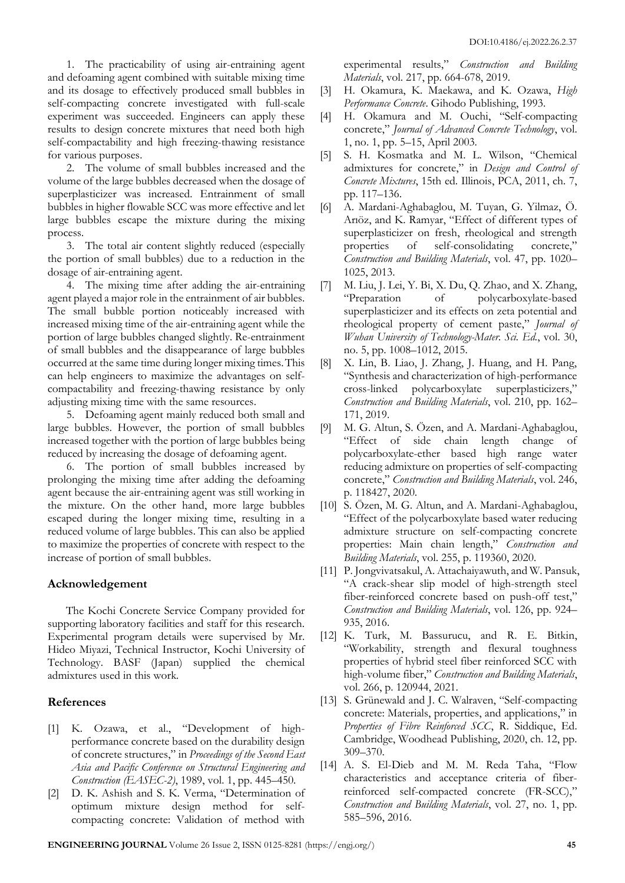1. The practicability of using air-entraining agent and defoaming agent combined with suitable mixing time and its dosage to effectively produced small bubbles in self-compacting concrete investigated with full-scale experiment was succeeded. Engineers can apply these results to design concrete mixtures that need both high self-compactability and high freezing-thawing resistance for various purposes.

2. The volume of small bubbles increased and the volume of the large bubbles decreased when the dosage of superplasticizer was increased. Entrainment of small bubbles in higher flowable SCC was more effective and let large bubbles escape the mixture during the mixing process.

3. The total air content slightly reduced (especially the portion of small bubbles) due to a reduction in the dosage of air-entraining agent.

4. The mixing time after adding the air-entraining agent played a major role in the entrainment of air bubbles. The small bubble portion noticeably increased with increased mixing time of the air-entraining agent while the portion of large bubbles changed slightly. Re-entrainment of small bubbles and the disappearance of large bubbles occurred at the same time during longer mixing times.This can help engineers to maximize the advantages on selfcompactability and freezing-thawing resistance by only adjusting mixing time with the same resources.

5. Defoaming agent mainly reduced both small and large bubbles. However, the portion of small bubbles increased together with the portion of large bubbles being reduced by increasing the dosage of defoaming agent.

6. The portion of small bubbles increased by prolonging the mixing time after adding the defoaming agent because the air-entraining agent was still working in the mixture. On the other hand, more large bubbles escaped during the longer mixing time, resulting in a reduced volume of large bubbles. This can also be applied to maximize the properties of concrete with respect to the increase of portion of small bubbles.

# **Acknowledgement**

The Kochi Concrete Service Company provided for supporting laboratory facilities and staff for this research. Experimental program details were supervised by Mr. Hideo Miyazi, Technical Instructor, Kochi University of Technology. BASF (Japan) supplied the chemical admixtures used in this work.

# **References**

- [1] K. Ozawa, et al., "Development of highperformance concrete based on the durability design of concrete structures," in *Proceedings of the Second East Asia and Pacific Conference on Structural Engineering and Construction (EASEC-2)*, 1989, vol. 1, pp. 445–450.
- [2] D. K. Ashish and S. K. Verma, "Determination of optimum mixture design method for selfcompacting concrete: Validation of method with

experimental results," *Construction and Building Materials*, vol. 217, pp. 664-678, 2019.

- [3] H. Okamura, K. Maekawa, and K. Ozawa, *High Performance Concrete*. Gihodo Publishing, 1993.
- [4] H. Okamura and M. Ouchi, "Self-compacting concrete," *Journal of Advanced Concrete Technology*, vol. 1, no. 1, pp. 5–15, April 2003.
- [5] S. H. Kosmatka and M. L. Wilson, "Chemical admixtures for concrete," in *Design and Control of Concrete Mixtures*, 15th ed. Illinois, PCA, 2011, ch. 7, pp. 117–136.
- [6] A. Mardani-Aghabaglou, M. Tuyan, G. Yilmaz, Ö. Arıöz, and K. Ramyar, "Effect of different types of superplasticizer on fresh, rheological and strength properties of self-consolidating concrete," *Construction and Building Materials*, vol. 47, pp. 1020– 1025, 2013.
- [7] M. Liu, J. Lei, Y. Bi, X. Du, Q. Zhao, and X. Zhang, "Preparation of polycarboxylate-based superplasticizer and its effects on zeta potential and rheological property of cement paste," *Journal of Wuhan University of Technology-Mater. Sci. Ed.*, vol. 30, no. 5, pp. 1008–1012, 2015.
- [8] X. Lin, B. Liao, J. Zhang, J. Huang, and H. Pang, "Synthesis and characterization of high-performance cross-linked polycarboxylate superplasticizers," *Construction and Building Materials*, vol. 210, pp. 162– 171, 2019.
- [9] M. G. Altun, S. Özen, and A. Mardani-Aghabaglou, "Effect of side chain length change of polycarboxylate-ether based high range water reducing admixture on properties of self-compacting concrete," *Construction and Building Materials*, vol. 246, p. 118427, 2020.
- [10] S. Özen, M. G. Altun, and A. Mardani-Aghabaglou, "Effect of the polycarboxylate based water reducing admixture structure on self-compacting concrete properties: Main chain length," *Construction and Building Materials*, vol. 255, p. 119360, 2020.
- [11] P. Jongvivatsakul, A. Attachaiyawuth, and W. Pansuk, "A crack-shear slip model of high-strength steel fiber-reinforced concrete based on push-off test," *Construction and Building Materials*, vol. 126, pp. 924– 935, 2016.
- [12] K. Turk, M. Bassurucu, and R. E. Bitkin, "Workability, strength and flexural toughness properties of hybrid steel fiber reinforced SCC with high-volume fiber," *Construction and Building Materials*, vol. 266, p. 120944, 2021.
- [13] S. Grünewald and J. C. Walraven, "Self-compacting concrete: Materials, properties, and applications," in *Properties of Fibre Reinforced SCC*, R. Siddique, Ed. Cambridge, Woodhead Publishing, 2020, ch. 12, pp. 309–370.
- [14] A. S. El-Dieb and M. M. Reda Taha, "Flow characteristics and acceptance criteria of fiberreinforced self-compacted concrete (FR-SCC)," *Construction and Building Materials*, vol. 27, no. 1, pp. 585–596, 2016.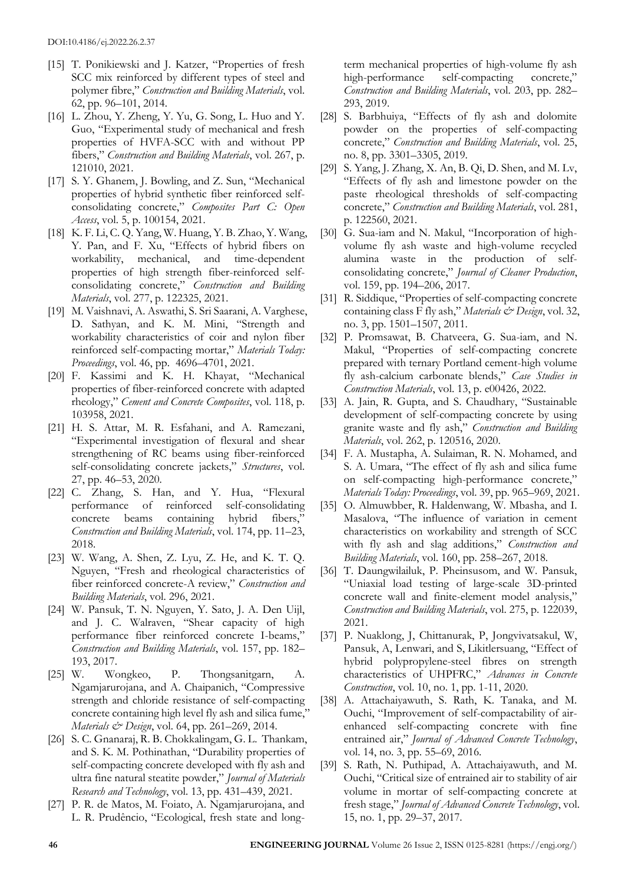- [15] T. Ponikiewski and J. Katzer, "Properties of fresh SCC mix reinforced by different types of steel and polymer fibre," *Construction and Building Materials*, vol. 62, pp. 96–101, 2014.
- [16] L. Zhou, Y. Zheng, Y. Yu, G. Song, L. Huo and Y. Guo, "Experimental study of mechanical and fresh properties of HVFA-SCC with and without PP fibers," *Construction and Building Materials*, vol. 267, p. 121010, 2021.
- [17] S. Y. Ghanem, J. Bowling, and Z. Sun, "Mechanical properties of hybrid synthetic fiber reinforced selfconsolidating concrete," *Composites Part C: Open Access*, vol. 5, p. 100154, 2021.
- [18] K. F. Li, C. Q. Yang, W. Huang, Y. B. Zhao, Y. Wang, Y. Pan, and F. Xu, "Effects of hybrid fibers on workability, mechanical, and time-dependent properties of high strength fiber-reinforced selfconsolidating concrete," *Construction and Building Materials*, vol. 277, p. 122325, 2021.
- [19] M. Vaishnavi, A. Aswathi, S. Sri Saarani, A. Varghese, D. Sathyan, and K. M. Mini, "Strength and workability characteristics of coir and nylon fiber reinforced self-compacting mortar," *Materials Today: Proceedings*, vol. 46, pp. 4696–4701, 2021.
- [20] F. Kassimi and K. H. Khayat, "Mechanical properties of fiber-reinforced concrete with adapted rheology," *Cement and Concrete Composites*, vol. 118, p. 103958, 2021.
- [21] H. S. Attar, M. R. Esfahani, and A. Ramezani, "Experimental investigation of flexural and shear strengthening of RC beams using fiber-reinforced self-consolidating concrete jackets," *Structures*, vol. 27, pp. 46–53, 2020.
- [22] C. Zhang, S. Han, and Y. Hua, "Flexural performance of reinforced self-consolidating concrete beams containing hybrid fibers," *Construction and Building Materials*, vol. 174, pp. 11–23, 2018.
- [23] W. Wang, A. Shen, Z. Lyu, Z. He, and K. T. Q. Nguyen, "Fresh and rheological characteristics of fiber reinforced concrete-A review," *Construction and Building Materials*, vol. 296, 2021.
- [24] W. Pansuk, T. N. Nguyen, Y. Sato, J. A. Den Uijl, and J. C. Walraven, "Shear capacity of high performance fiber reinforced concrete I-beams," *Construction and Building Materials*, vol. 157, pp. 182– 193, 2017.
- [25] W. Wongkeo, P. Thongsanitgarn, A. Ngamjarurojana, and A. Chaipanich, "Compressive strength and chloride resistance of self-compacting concrete containing high level fly ash and silica fume," *Materials & Design*, vol. 64, pp. 261–269, 2014.
- [26] S. C. Gnanaraj, R. B. Chokkalingam, G. L. Thankam, and S. K. M. Pothinathan, "Durability properties of self-compacting concrete developed with fly ash and ultra fine natural steatite powder," *Journal of Materials Research and Technology*, vol. 13, pp. 431–439, 2021.
- [27] P. R. de Matos, M. Foiato, A. Ngamjarurojana, and L. R. Prudêncio, "Ecological, fresh state and long-

term mechanical properties of high-volume fly ash high-performance self-compacting concrete," *Construction and Building Materials*, vol. 203, pp. 282– 293, 2019.

- [28] S. Barbhuiya, "Effects of fly ash and dolomite powder on the properties of self-compacting concrete," *Construction and Building Materials*, vol. 25, no. 8, pp. 3301–3305, 2019.
- [29] S. Yang, J. Zhang, X. An, B. Qi, D. Shen, and M. Lv, "Effects of fly ash and limestone powder on the paste rheological thresholds of self-compacting concrete," *Construction and Building Materials*, vol. 281, p. 122560, 2021.
- [30] G. Sua-iam and N. Makul, "Incorporation of highvolume fly ash waste and high-volume recycled alumina waste in the production of selfconsolidating concrete," *Journal of Cleaner Production*, vol. 159, pp. 194–206, 2017.
- [31] R. Siddique, "Properties of self-compacting concrete containing class F fly ash," *Materials & Design*, vol. 32, no. 3, pp. 1501–1507, 2011.
- [32] P. Promsawat, B. Chatveera, G. Sua-iam, and N. Makul, "Properties of self-compacting concrete prepared with ternary Portland cement-high volume fly ash-calcium carbonate blends," *Case Studies in Construction Materials*, vol. 13, p. e00426, 2022.
- [33] A. Jain, R. Gupta, and S. Chaudhary, "Sustainable development of self-compacting concrete by using granite waste and fly ash," *Construction and Building Materials*, vol. 262, p. 120516, 2020.
- [34] F. A. Mustapha, A. Sulaiman, R. N. Mohamed, and S. A. Umara, "The effect of fly ash and silica fume on self-compacting high-performance concrete," *Materials Today: Proceedings*, vol. 39, pp. 965–969, 2021.
- [35] O. Almuwbber, R. Haldenwang, W. Mbasha, and I. Masalova, "The influence of variation in cement characteristics on workability and strength of SCC with fly ash and slag additions," *Construction and Building Materials*, vol. 160, pp. 258–267, 2018.
- [36] T. Daungwilailuk, P. Pheinsusom, and W. Pansuk, "Uniaxial load testing of large-scale 3D-printed concrete wall and finite-element model analysis," *Construction and Building Materials*, vol. 275, p. 122039, 2021.
- [37] P. Nuaklong, J, Chittanurak, P, Jongvivatsakul, W, Pansuk, A, Lenwari, and S, Likitlersuang, "Effect of hybrid polypropylene-steel fibres on strength characteristics of UHPFRC," *Advances in Concrete Construction*, vol. 10, no. 1, pp. 1-11, 2020.
- [38] A. Attachaiyawuth, S. Rath, K. Tanaka, and M. Ouchi, "Improvement of self-compactability of airenhanced self-compacting concrete with fine entrained air," *Journal of Advanced Concrete Technology*, vol. 14, no. 3, pp. 55–69, 2016.
- [39] S. Rath, N. Puthipad, A. Attachaiyawuth, and M. Ouchi, "Critical size of entrained air to stability of air volume in mortar of self-compacting concrete at fresh stage," *Journal of Advanced Concrete Technology*, vol. 15, no. 1, pp. 29–37, 2017.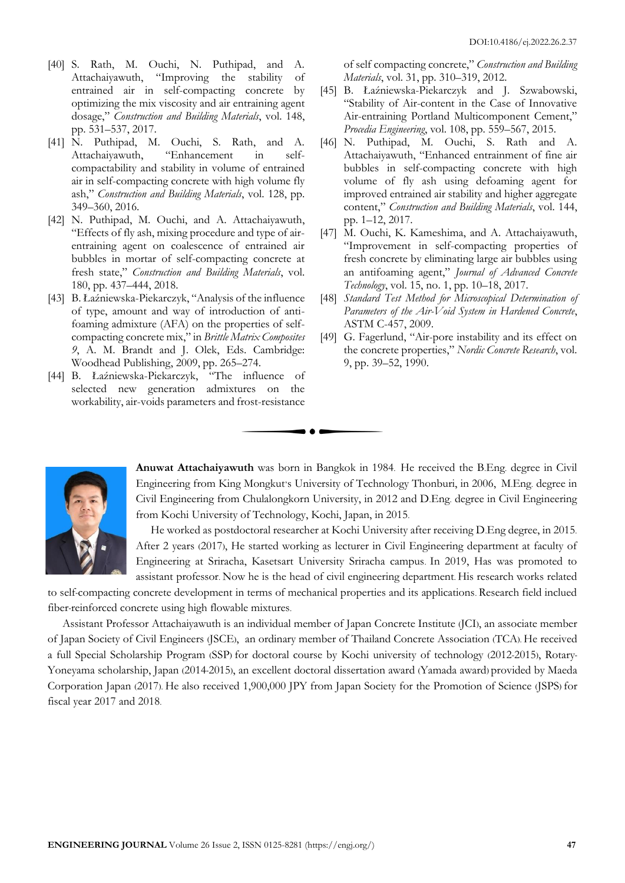- [40] S. Rath, M. Ouchi, N. Puthipad, and A. Attachaiyawuth, "Improving the stability of entrained air in self-compacting concrete by optimizing the mix viscosity and air entraining agent dosage," *Construction and Building Materials*, vol. 148, pp. 531–537, 2017.
- [41] N. Puthipad, M. Ouchi, S. Rath, and A. Attachaiyawuth, "Enhancement in selfcompactability and stability in volume of entrained air in self-compacting concrete with high volume fly ash," *Construction and Building Materials*, vol. 128, pp. 349–360, 2016.
- [42] N. Puthipad, M. Ouchi, and A. Attachaiyawuth, "Effects of fly ash, mixing procedure and type of airentraining agent on coalescence of entrained air bubbles in mortar of self-compacting concrete at fresh state," *Construction and Building Materials*, vol. 180, pp. 437–444, 2018.
- [43] B. Łaźniewska-Piekarczyk, "Analysis of the influence of type, amount and way of introduction of antifoaming admixture (AFA) on the properties of selfcompacting concrete mix," in *Brittle Matrix Composites 9*, A. M. Brandt and J. Olek, Eds. Cambridge: Woodhead Publishing, 2009, pp. 265–274.
- [44] B. Łaźniewska-Piekarczyk, "The influence of selected new generation admixtures on the workability, air-voids parameters and frost-resistance

of self compacting concrete," *Construction and Building Materials*, vol. 31, pp. 310–319, 2012.

- [45] B. Łaźniewska-Piekarczyk and J. Szwabowski, "Stability of Air-content in the Case of Innovative Air-entraining Portland Multicomponent Cement," *Procedia Engineering*, vol. 108, pp. 559–567, 2015.
- [46] N. Puthipad, M. Ouchi, S. Rath and A. Attachaiyawuth, "Enhanced entrainment of fine air bubbles in self-compacting concrete with high volume of fly ash using defoaming agent for improved entrained air stability and higher aggregate content," *Construction and Building Materials*, vol. 144, pp. 1–12, 2017.
- [47] M. Ouchi, K. Kameshima, and A. Attachaiyawuth, "Improvement in self-compacting properties of fresh concrete by eliminating large air bubbles using an antifoaming agent," *Journal of Advanced Concrete Technology*, vol. 15, no. 1, pp. 10–18, 2017.
- [48] *Standard Test Method for Microscopical Determination of Parameters of the Air-Void System in Hardened Concrete*, ASTM C-457, 2009.
- [49] G. Fagerlund, "Air-pore instability and its effect on the concrete properties," *Nordic Concrete Research*, vol. 9, pp. 39–52, 1990.



**Anuwat Attachaiyawuth** was born in Bangkok in 1984. He received the B.Eng. degree in Civil Engineering from King Mongkut's University of Technology Thonburi, in 2006, M.Eng. degree in Civil Engineering from Chulalongkorn University, in 2012 and D.Eng. degree in Civil Engineering from Kochi University of Technology, Kochi, Japan, in 2015.

He worked as postdoctoral researcher at Kochi University after receiving D.Eng degree, in 2015. After 2 years (2017), He started working as lecturer in Civil Engineering department at faculty of Engineering at Sriracha, Kasetsart University Sriracha campus. In 2019, Has was promoted to assistant professor. Now he is the head of civil engineering department. His research works related

to self-compacting concrete development in terms of mechanical properties and its applications. Research field inclued fiber-reinforced concrete using high flowable mixtures.

Assistant Professor Attachaiyawuth is an individual member of Japan Concrete Institute (JCI), an associate member of Japan Society of Civil Engineers (JSCE), an ordinary member of Thailand Concrete Association (TCA). He received a full Special Scholarship Program (SSP) for doctoral course by Kochi university of technology (2012-2015), Rotary-Yoneyama scholarship, Japan (2014-2015), an excellent doctoral dissertation award (Yamada award) provided by Maeda Corporation Japan (2017). He also received 1,900,000 JPY from Japan Society for the Promotion of Science (JSPS) for fiscal year 2017 and 2018.